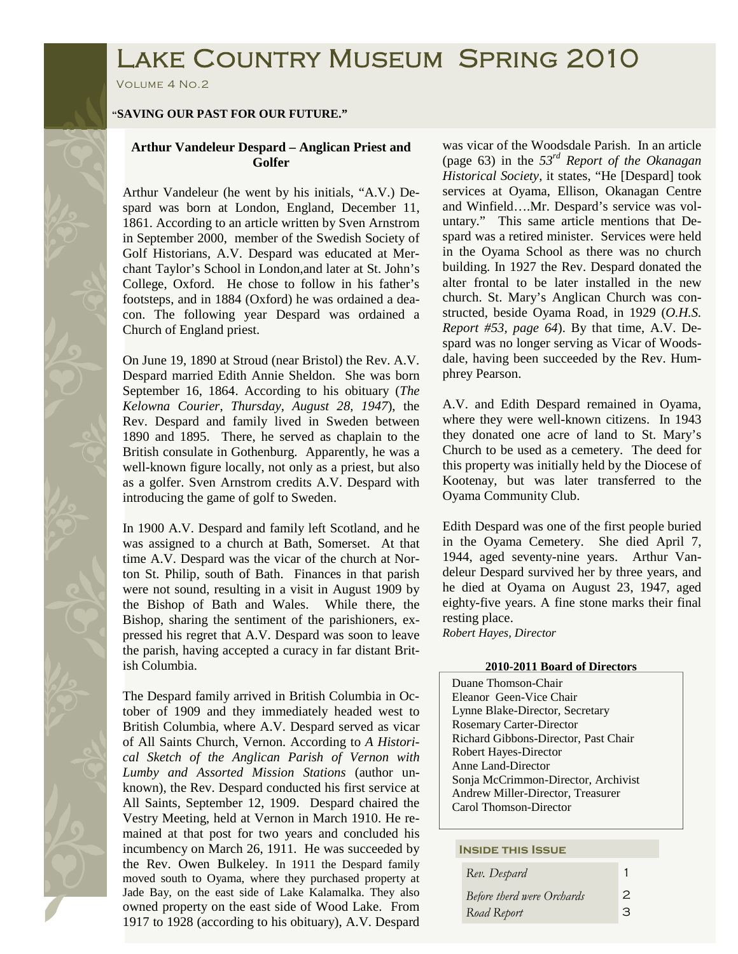# Lake Country Museum Spring 2010

Volume 4 No.2

### **"SAVING OUR PAST FOR OUR FUTURE."**

## **Arthur Vandeleur Despard – Anglican Priest and Golfer**

Arthur Vandeleur (he went by his initials, "A.V.) Despard was born at London, England, December 11, 1861. According to an article written by Sven Arnstrom in September 2000, member of the Swedish Society of Golf Historians, A.V. Despard was educated at Merchant Taylor's School in London,and later at St. John's College, Oxford. He chose to follow in his father's footsteps, and in 1884 (Oxford) he was ordained a deacon. The following year Despard was ordained a Church of England priest.

On June 19, 1890 at Stroud (near Bristol) the Rev. A.V. Despard married Edith Annie Sheldon. She was born September 16, 1864. According to his obituary (*The Kelowna Courier*, *Thursday, August 28, 1947*), the Rev. Despard and family lived in Sweden between 1890 and 1895. There, he served as chaplain to the British consulate in Gothenburg. Apparently, he was a well-known figure locally, not only as a priest, but also as a golfer. Sven Arnstrom credits A.V. Despard with introducing the game of golf to Sweden.

In 1900 A.V. Despard and family left Scotland, and he was assigned to a church at Bath, Somerset. At that time A.V. Despard was the vicar of the church at Norton St. Philip, south of Bath. Finances in that parish were not sound, resulting in a visit in August 1909 by the Bishop of Bath and Wales. While there, the Bishop, sharing the sentiment of the parishioners, expressed his regret that A.V. Despard was soon to leave the parish, having accepted a curacy in far distant British Columbia.

The Despard family arrived in British Columbia in October of 1909 and they immediately headed west to British Columbia, where A.V. Despard served as vicar of All Saints Church, Vernon. According to *A Historical Sketch of the Anglican Parish of Vernon with Lumby and Assorted Mission Stations* (author unknown), the Rev. Despard conducted his first service at All Saints, September 12, 1909. Despard chaired the Vestry Meeting, held at Vernon in March 1910. He remained at that post for two years and concluded his incumbency on March 26, 1911. He was succeeded by the Rev. Owen Bulkeley. In 1911 the Despard family moved south to Oyama, where they purchased property at Jade Bay, on the east side of Lake Kalamalka. They also owned property on the east side of Wood Lake. From 1917 to 1928 (according to his obituary), A.V. Despard was vicar of the Woodsdale Parish. In an article (page 63) in the *53rd Report of the Okanagan Historical Society,* it states, "He [Despard] took services at Oyama, Ellison, Okanagan Centre and Winfield….Mr. Despard's service was voluntary." This same article mentions that Despard was a retired minister. Services were held in the Oyama School as there was no church building. In 1927 the Rev. Despard donated the alter frontal to be later installed in the new church. St. Mary's Anglican Church was constructed, beside Oyama Road, in 1929 (*O.H.S. Report #53, page 64*). By that time, A.V. Despard was no longer serving as Vicar of Woodsdale, having been succeeded by the Rev. Humphrey Pearson.

A.V. and Edith Despard remained in Oyama, where they were well-known citizens. In 1943 they donated one acre of land to St. Mary's Church to be used as a cemetery. The deed for this property was initially held by the Diocese of Kootenay, but was later transferred to the Oyama Community Club.

Edith Despard was one of the first people buried in the Oyama Cemetery. She died April 7, 1944, aged seventy-nine years. Arthur Vandeleur Despard survived her by three years, and he died at Oyama on August 23, 1947, aged eighty-five years. A fine stone marks their final resting place.

*Robert Hayes, Director*

#### **2010-2011 Board of Directors**

 Duane Thomson-Chair Eleanor Geen-Vice Chair Lynne Blake-Director, Secretary Rosemary Carter-Director Richard Gibbons-Director, Past Chair Robert Hayes-Director Anne Land-Director Sonja McCrimmon-Director, Archivist Andrew Miller-Director, Treasurer Carol Thomson-Director

#### **Inside this Issue**

| Rev. Despard               |   |
|----------------------------|---|
| Before therd were Orchards | 2 |
| Road Report                | З |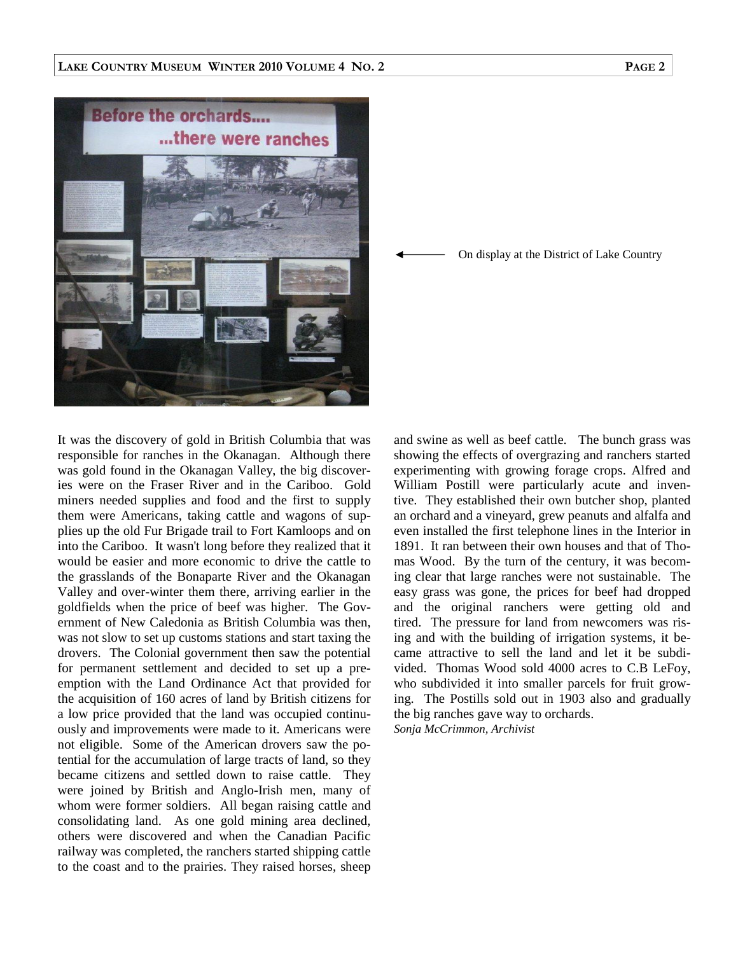

On display at the District of Lake Country

It was the discovery of gold in British Columbia that was responsible for ranches in the Okanagan. Although there was gold found in the Okanagan Valley, the big discoveries were on the Fraser River and in the Cariboo. Gold miners needed supplies and food and the first to supply them were Americans, taking cattle and wagons of supplies up the old Fur Brigade trail to Fort Kamloops and on into the Cariboo. It wasn't long before they realized that it would be easier and more economic to drive the cattle to the grasslands of the Bonaparte River and the Okanagan Valley and over-winter them there, arriving earlier in the goldfields when the price of beef was higher. The Government of New Caledonia as British Columbia was then, was not slow to set up customs stations and start taxing the drovers. The Colonial government then saw the potential for permanent settlement and decided to set up a preemption with the Land Ordinance Act that provided for the acquisition of 160 acres of land by British citizens for a low price provided that the land was occupied continuously and improvements were made to it. Americans were not eligible. Some of the American drovers saw the potential for the accumulation of large tracts of land, so they became citizens and settled down to raise cattle. They were joined by British and Anglo-Irish men, many of whom were former soldiers. All began raising cattle and consolidating land. As one gold mining area declined, others were discovered and when the Canadian Pacific railway was completed, the ranchers started shipping cattle to the coast and to the prairies. They raised horses, sheep and swine as well as beef cattle. The bunch grass was showing the effects of overgrazing and ranchers started experimenting with growing forage crops. Alfred and William Postill were particularly acute and inventive. They established their own butcher shop, planted an orchard and a vineyard, grew peanuts and alfalfa and even installed the first telephone lines in the Interior in 1891. It ran between their own houses and that of Thomas Wood. By the turn of the century, it was becoming clear that large ranches were not sustainable. The easy grass was gone, the prices for beef had dropped and the original ranchers were getting old and tired. The pressure for land from newcomers was rising and with the building of irrigation systems, it became attractive to sell the land and let it be subdivided. Thomas Wood sold 4000 acres to C.B LeFoy, who subdivided it into smaller parcels for fruit growing. The Postills sold out in 1903 also and gradually the big ranches gave way to orchards. *Sonja McCrimmon, Archivist*